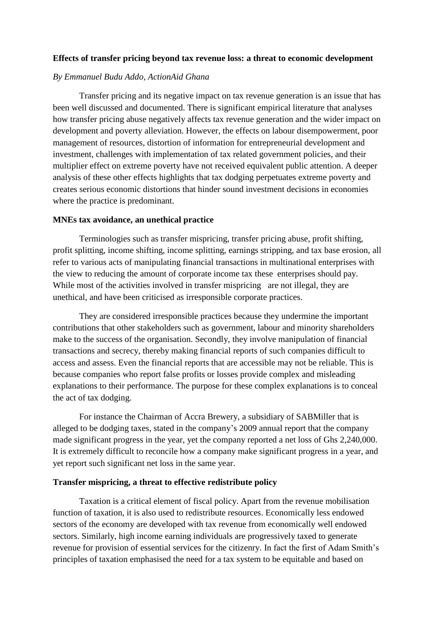# **Effects of transfer pricing beyond tax revenue loss: a threat to economic development**

### *By Emmanuel Budu Addo, ActionAid Ghana*

Transfer pricing and its negative impact on tax revenue generation is an issue that has been well discussed and documented. There is significant empirical literature that analyses how transfer pricing abuse negatively affects tax revenue generation and the wider impact on development and poverty alleviation. However, the effects on labour disempowerment, poor management of resources, distortion of information for entrepreneurial development and investment, challenges with implementation of tax related government policies, and their multiplier effect on extreme poverty have not received equivalent public attention. A deeper analysis of these other effects highlights that tax dodging perpetuates extreme poverty and creates serious economic distortions that hinder sound investment decisions in economies where the practice is predominant.

## **MNEs tax avoidance, an unethical practice**

Terminologies such as transfer mispricing, transfer pricing abuse, profit shifting, profit splitting, income shifting, income splitting, earnings stripping, and tax base erosion, all refer to various acts of manipulating financial transactions in multinational enterprises with the view to reducing the amount of corporate income tax these enterprises should pay. While most of the activities involved in transfer mispricing are not illegal, they are unethical, and have been criticised as irresponsible corporate practices.

They are considered irresponsible practices because they undermine the important contributions that other stakeholders such as government, labour and minority shareholders make to the success of the organisation. Secondly, they involve manipulation of financial transactions and secrecy, thereby making financial reports of such companies difficult to access and assess. Even the financial reports that are accessible may not be reliable. This is because companies who report false profits or losses provide complex and misleading explanations to their performance. The purpose for these complex explanations is to conceal the act of tax dodging.

For instance the Chairman of Accra Brewery, a subsidiary of SABMiller that is alleged to be dodging taxes, stated in the company's 2009 annual report that the company made significant progress in the year, yet the company reported a net loss of Ghs 2,240,000. It is extremely difficult to reconcile how a company make significant progress in a year, and yet report such significant net loss in the same year.

## **Transfer mispricing, a threat to effective redistribute policy**

Taxation is a critical element of fiscal policy. Apart from the revenue mobilisation function of taxation, it is also used to redistribute resources. Economically less endowed sectors of the economy are developed with tax revenue from economically well endowed sectors. Similarly, high income earning individuals are progressively taxed to generate revenue for provision of essential services for the citizenry. In fact the first of Adam Smith's principles of taxation emphasised the need for a tax system to be equitable and based on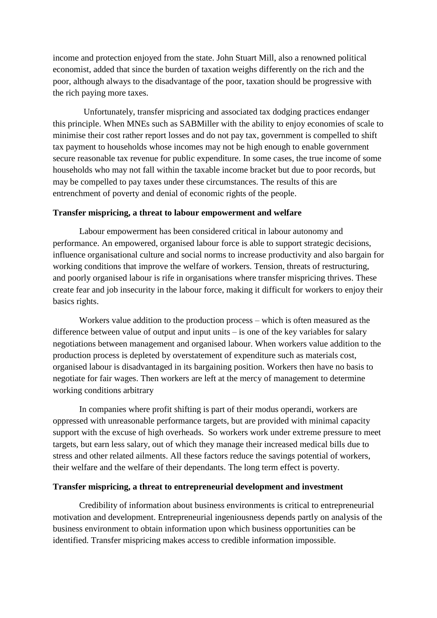income and protection enjoyed from the state. John Stuart Mill, also a renowned political economist, added that since the burden of taxation weighs differently on the rich and the poor, although always to the disadvantage of the poor, taxation should be progressive with the rich paying more taxes.

 Unfortunately, transfer mispricing and associated tax dodging practices endanger this principle. When MNEs such as SABMiller with the ability to enjoy economies of scale to minimise their cost rather report losses and do not pay tax, government is compelled to shift tax payment to households whose incomes may not be high enough to enable government secure reasonable tax revenue for public expenditure. In some cases, the true income of some households who may not fall within the taxable income bracket but due to poor records, but may be compelled to pay taxes under these circumstances. The results of this are entrenchment of poverty and denial of economic rights of the people.

# **Transfer mispricing, a threat to labour empowerment and welfare**

Labour empowerment has been considered critical in labour autonomy and performance. An empowered, organised labour force is able to support strategic decisions, influence organisational culture and social norms to increase productivity and also bargain for working conditions that improve the welfare of workers. Tension, threats of restructuring, and poorly organised labour is rife in organisations where transfer mispricing thrives. These create fear and job insecurity in the labour force, making it difficult for workers to enjoy their basics rights.

Workers value addition to the production process – which is often measured as the difference between value of output and input units – is one of the key variables for salary negotiations between management and organised labour. When workers value addition to the production process is depleted by overstatement of expenditure such as materials cost, organised labour is disadvantaged in its bargaining position. Workers then have no basis to negotiate for fair wages. Then workers are left at the mercy of management to determine working conditions arbitrary

In companies where profit shifting is part of their modus operandi, workers are oppressed with unreasonable performance targets, but are provided with minimal capacity support with the excuse of high overheads. So workers work under extreme pressure to meet targets, but earn less salary, out of which they manage their increased medical bills due to stress and other related ailments. All these factors reduce the savings potential of workers, their welfare and the welfare of their dependants. The long term effect is poverty.

### **Transfer mispricing, a threat to entrepreneurial development and investment**

Credibility of information about business environments is critical to entrepreneurial motivation and development. Entrepreneurial ingeniousness depends partly on analysis of the business environment to obtain information upon which business opportunities can be identified. Transfer mispricing makes access to credible information impossible.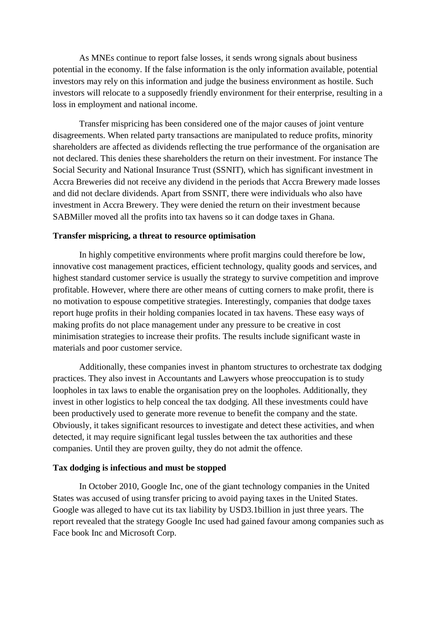As MNEs continue to report false losses, it sends wrong signals about business potential in the economy. If the false information is the only information available, potential investors may rely on this information and judge the business environment as hostile. Such investors will relocate to a supposedly friendly environment for their enterprise, resulting in a loss in employment and national income.

Transfer mispricing has been considered one of the major causes of joint venture disagreements. When related party transactions are manipulated to reduce profits, minority shareholders are affected as dividends reflecting the true performance of the organisation are not declared. This denies these shareholders the return on their investment. For instance The Social Security and National Insurance Trust (SSNIT), which has significant investment in Accra Breweries did not receive any dividend in the periods that Accra Brewery made losses and did not declare dividends. Apart from SSNIT, there were individuals who also have investment in Accra Brewery. They were denied the return on their investment because SABMiller moved all the profits into tax havens so it can dodge taxes in Ghana.

## **Transfer mispricing, a threat to resource optimisation**

In highly competitive environments where profit margins could therefore be low, innovative cost management practices, efficient technology, quality goods and services, and highest standard customer service is usually the strategy to survive competition and improve profitable. However, where there are other means of cutting corners to make profit, there is no motivation to espouse competitive strategies. Interestingly, companies that dodge taxes report huge profits in their holding companies located in tax havens. These easy ways of making profits do not place management under any pressure to be creative in cost minimisation strategies to increase their profits. The results include significant waste in materials and poor customer service.

Additionally, these companies invest in phantom structures to orchestrate tax dodging practices. They also invest in Accountants and Lawyers whose preoccupation is to study loopholes in tax laws to enable the organisation prey on the loopholes. Additionally, they invest in other logistics to help conceal the tax dodging. All these investments could have been productively used to generate more revenue to benefit the company and the state. Obviously, it takes significant resources to investigate and detect these activities, and when detected, it may require significant legal tussles between the tax authorities and these companies. Until they are proven guilty, they do not admit the offence.

## **Tax dodging is infectious and must be stopped**

In October 2010, Google Inc, one of the giant technology companies in the United States was accused of using transfer pricing to avoid paying taxes in the United States. Google was alleged to have cut its tax liability by USD3.1billion in just three years. The report revealed that the strategy Google Inc used had gained favour among companies such as Face book Inc and Microsoft Corp.